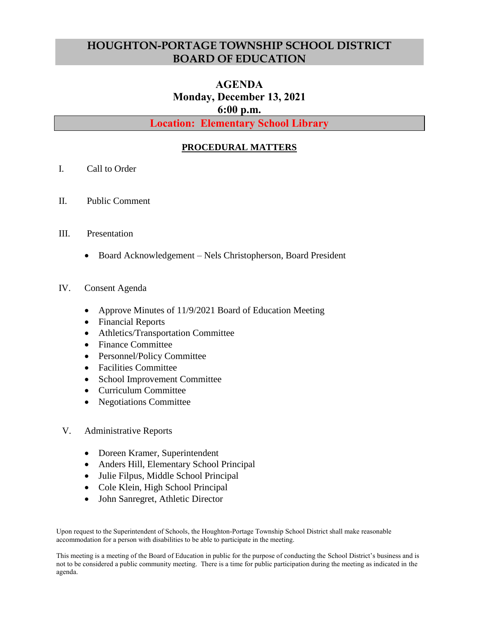## **HOUGHTON-PORTAGE TOWNSHIP SCHOOL DISTRICT BOARD OF EDUCATION**

## **AGENDA Monday, December 13, 2021 6:00 p.m.**

**Location: Elementary School Library**

## **PROCEDURAL MATTERS**

- I. Call to Order
- II. Public Comment
- III. Presentation
	- Board Acknowledgement Nels Christopherson, Board President
- IV. Consent Agenda
	- Approve Minutes of 11/9/2021 Board of Education Meeting
	- Financial Reports
	- Athletics/Transportation Committee
	- Finance Committee
	- Personnel/Policy Committee
	- Facilities Committee
	- School Improvement Committee
	- Curriculum Committee
	- Negotiations Committee
- V. Administrative Reports
	- Doreen Kramer, Superintendent
	- Anders Hill, Elementary School Principal
	- Julie Filpus, Middle School Principal
	- Cole Klein, High School Principal
	- John Sanregret, Athletic Director

Upon request to the Superintendent of Schools, the Houghton-Portage Township School District shall make reasonable accommodation for a person with disabilities to be able to participate in the meeting.

This meeting is a meeting of the Board of Education in public for the purpose of conducting the School District's business and is not to be considered a public community meeting. There is a time for public participation during the meeting as indicated in the agenda.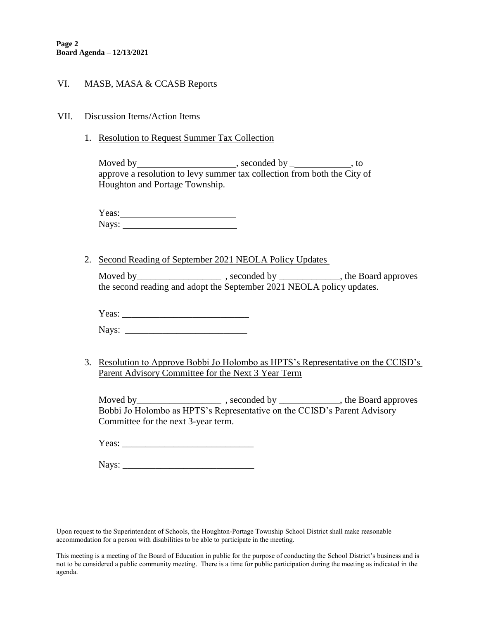## VI. MASB, MASA & CCASB Reports

- VII. Discussion Items/Action Items
	- 1. Resolution to Request Summer Tax Collection

Moved by , seconded by \_ , to approve a resolution to levy summer tax collection from both the City of Houghton and Portage Township.

Yeas: Nays:

2. Second Reading of September 2021 NEOLA Policy Updates

Moved by\_\_\_\_\_\_\_\_\_\_\_\_\_\_\_\_\_\_\_\_\_\_\_\_\_\_, seconded by \_\_\_\_\_\_\_\_\_\_\_\_\_\_, the Board approves the second reading and adopt the September 2021 NEOLA policy updates.

Yeas:

Nays: \_\_\_\_\_\_\_\_\_\_\_\_\_\_\_\_\_\_\_\_\_\_\_\_\_\_

3. Resolution to Approve Bobbi Jo Holombo as HPTS's Representative on the CCISD's Parent Advisory Committee for the Next 3 Year Term

Moved by\_\_\_\_\_\_\_\_\_\_\_\_\_\_\_\_\_\_ , seconded by \_\_\_\_\_\_\_\_\_\_\_\_\_, the Board approves Bobbi Jo Holombo as HPTS's Representative on the CCISD's Parent Advisory Committee for the next 3-year term.

Yeas:

Nays:

Upon request to the Superintendent of Schools, the Houghton-Portage Township School District shall make reasonable accommodation for a person with disabilities to be able to participate in the meeting.

This meeting is a meeting of the Board of Education in public for the purpose of conducting the School District's business and is not to be considered a public community meeting. There is a time for public participation during the meeting as indicated in the agenda.